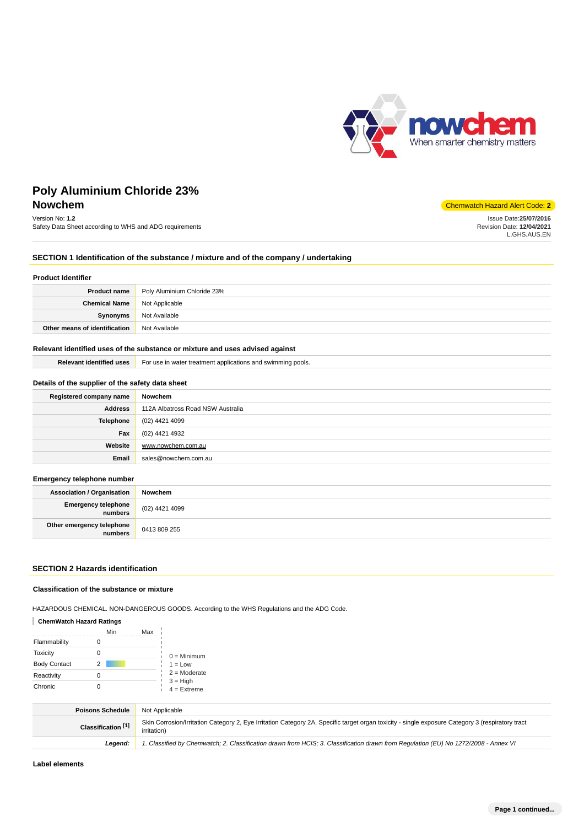

# **Poly Aluminium Chloride 23% Nowchem** Chemwatch Hazard Alert Code: **2**

# Version No: **1.2**

Safety Data Sheet according to WHS and ADG requirements

Issue Date:**25/07/2016**

Revision Date: **12/04/2021** L.GHS.AUS.EN

## **SECTION 1 Identification of the substance / mixture and of the company / undertaking**

#### **Product Identifier**

| <b>Product name</b>                   | Poly Aluminium Chloride 23% |
|---------------------------------------|-----------------------------|
| <b>Chemical Name</b>   Not Applicable |                             |
| Synonyms                              | Not Available               |
| Other means of identification         | Not Available               |

## **Relevant identified uses of the substance or mixture and uses advised against**

| Relevant identified uses | For use in water treatment applications and swimming pools. |
|--------------------------|-------------------------------------------------------------|
|--------------------------|-------------------------------------------------------------|

## **Details of the supplier of the safety data sheet**

| Registered company name | Nowchem                           |
|-------------------------|-----------------------------------|
| <b>Address</b>          | 112A Albatross Road NSW Australia |
| Telephone               | (02) 4421 4099                    |
| Fax                     | (02) 4421 4932                    |
| Website                 | www.nowchem.com.au                |
| Email                   | sales@nowchem.com.au              |

#### **Emergency telephone number**

| . .                                          |                |
|----------------------------------------------|----------------|
| <b>Association / Organisation</b>            | Nowchem        |
| <b>Emergency telephone</b><br><b>numbers</b> | (02) 4421 4099 |
| Other emergency telephone<br>numbers         | 0413 809 255   |

## **SECTION 2 Hazards identification**

### **Classification of the substance or mixture**

HAZARDOUS CHEMICAL. NON-DANGEROUS GOODS. According to the WHS Regulations and the ADG Code.

## **ChemWatch Hazard Ratings**

|                     |   | Min<br>Max |                             |
|---------------------|---|------------|-----------------------------|
| Flammability        |   |            |                             |
| Toxicity            |   |            | $0 =$ Minimum               |
| <b>Body Contact</b> | 2 |            | $1 = Low$                   |
| Reactivity          |   |            | $2 =$ Moderate              |
| Chronic             |   |            | $3 = High$<br>$4 =$ Extreme |

| <b>Poisons Schedule</b>       | Not Applicable                                                                                                                                                          |
|-------------------------------|-------------------------------------------------------------------------------------------------------------------------------------------------------------------------|
| Classification <sup>[1]</sup> | Skin Corrosion/Irritation Category 2, Eye Irritation Category 2A, Specific target organ toxicity - single exposure Category 3 (respiratory tract<br><i>irritation</i> ) |
| Leaend:                       | 1. Classified by Chemwatch; 2. Classification drawn from HCIS; 3. Classification drawn from Regulation (EU) No 1272/2008 - Annex VI                                     |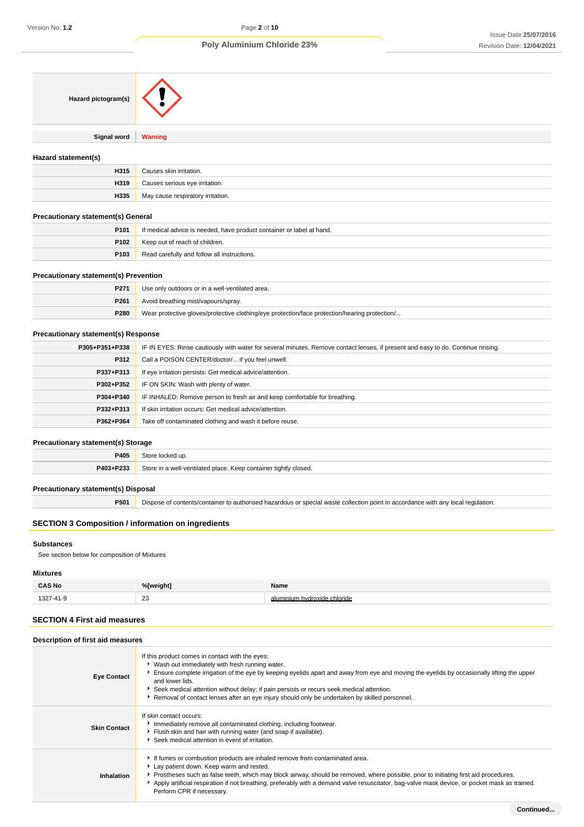| Hazard pictogram(s)                        |                                                                                                                                  |
|--------------------------------------------|----------------------------------------------------------------------------------------------------------------------------------|
| Signal word                                | <b>Warning</b>                                                                                                                   |
| Hazard statement(s)                        |                                                                                                                                  |
| H315                                       | Causes skin irritation.                                                                                                          |
| H319                                       | Causes serious eye irritation.                                                                                                   |
| H335                                       | May cause respiratory irritation.                                                                                                |
| <b>Precautionary statement(s) General</b>  |                                                                                                                                  |
| P <sub>101</sub>                           | If medical advice is needed, have product container or label at hand.                                                            |
| P102                                       | Keep out of reach of children.                                                                                                   |
| P <sub>103</sub>                           | Read carefully and follow all instructions.                                                                                      |
| Precautionary statement(s) Prevention      |                                                                                                                                  |
| P271                                       | Use only outdoors or in a well-ventilated area.                                                                                  |
| P <sub>261</sub>                           | Avoid breathing mist/vapours/spray.                                                                                              |
| P280                                       | Wear protective gloves/protective clothing/eye protection/face protection/hearing protection/                                    |
| <b>Precautionary statement(s) Response</b> |                                                                                                                                  |
| P305+P351+P338                             | IF IN EYES: Rinse cautiously with water for several minutes. Remove contact lenses, if present and easy to do. Continue rinsing. |
| P312                                       | Call a POISON CENTER/doctor/ if you feel unwell.                                                                                 |
| P337+P313                                  | If eye irritation persists: Get medical advice/attention.                                                                        |
| P302+P352                                  | IF ON SKIN: Wash with plenty of water.                                                                                           |
| P304+P340                                  | IF INHALED: Remove person to fresh air and keep comfortable for breathing.                                                       |
| P332+P313                                  | If skin irritation occurs: Get medical advice/attention.                                                                         |
| P362+P364                                  | Take off contaminated clothing and wash it before reuse.                                                                         |
| <b>Precautionary statement(s) Storage</b>  |                                                                                                                                  |
| P405                                       | Store locked up.                                                                                                                 |
| P403+P233                                  | Store in a well-ventilated place. Keep container tightly closed.                                                                 |

## **Precautionary statement(s) Disposal**

**P501** Dispose of contents/container to authorised hazardous or special waste collection point in accordance with any local regulation.

## **SECTION 3 Composition / information on ingredients**

## **Substances**

See section below for composition of Mixtures

## **Mixtures**

| <b>CAS No</b> | %[weight]              | Name                           |
|---------------|------------------------|--------------------------------|
| 1007          | $\sim$<br>ںے<br>$\sim$ | inium.<br>hydrovid<br>chloride |

## **SECTION 4 First aid measures**

## **Description of first aid measures**

| <b>Eye Contact</b>  | If this product comes in contact with the eyes:<br>▶ Wash out immediately with fresh running water.<br>Ensure complete irrigation of the eye by keeping eyelids apart and away from eye and moving the eyelids by occasionally lifting the upper<br>and lower lids.<br>Seek medical attention without delay; if pain persists or recurs seek medical attention.<br>Removal of contact lenses after an eye injury should only be undertaken by skilled personnel. |
|---------------------|------------------------------------------------------------------------------------------------------------------------------------------------------------------------------------------------------------------------------------------------------------------------------------------------------------------------------------------------------------------------------------------------------------------------------------------------------------------|
| <b>Skin Contact</b> | If skin contact occurs:<br>Immediately remove all contaminated clothing, including footwear.<br>Flush skin and hair with running water (and soap if available).<br>Seek medical attention in event of irritation.                                                                                                                                                                                                                                                |
| Inhalation          | If fumes or combustion products are inhaled remove from contaminated area.<br>Lay patient down. Keep warm and rested.<br>▶ Prostheses such as false teeth, which may block airway, should be removed, where possible, prior to initiating first aid procedures.<br>Apply artificial respiration if not breathing, preferably with a demand valve resuscitator, bag-valve mask device, or pocket mask as trained.<br>Perform CPR if necessary.                    |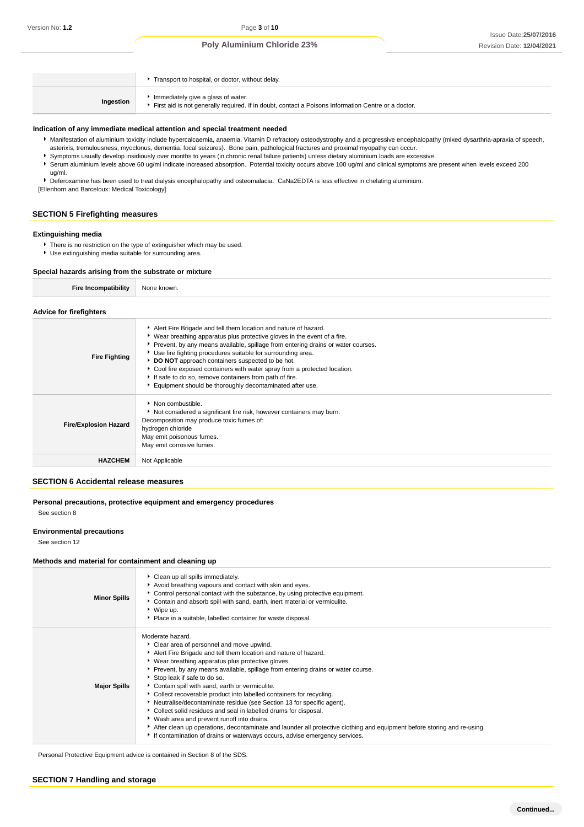|           | Transport to hospital, or doctor, without delay.                                                                                          |
|-----------|-------------------------------------------------------------------------------------------------------------------------------------------|
| Ingestion | Immediately give a glass of water.<br>First aid is not generally required. If in doubt, contact a Poisons Information Centre or a doctor. |

#### **Indication of any immediate medical attention and special treatment needed**

- Manifestation of aluminium toxicity include hypercalcaemia, anaemia, Vitamin D refractory osteodystrophy and a progressive encephalopathy (mixed dysarthria-apraxia of speech, asterixis, tremulousness, myoclonus, dementia, focal seizures). Bone pain, pathological fractures and proximal myopathy can occur.
- Symptoms usually develop insidiously over months to years (in chronic renal failure patients) unless dietary aluminium loads are excessive.
- Serum aluminium levels above 60 ug/ml indicate increased absorption. Potential toxicity occurs above 100 ug/ml and clinical symptoms are present when levels exceed 200 ug/ml.

Deferoxamine has been used to treat dialysis encephalopathy and osteomalacia. CaNa2EDTA is less effective in chelating aluminium. [Ellenhorn and Barceloux: Medical Toxicology]

## **SECTION 5 Firefighting measures**

#### **Extinguishing media**

- There is no restriction on the type of extinguisher which may be used.
- Use extinguishing media suitable for surrounding area.

## **Special hazards arising from the substrate or mixture**

```
Fire Incompatibility None known.
```
#### **Advice for firefighters**

| <b>Fire Fighting</b>         | Alert Fire Brigade and tell them location and nature of hazard.<br>• Wear breathing apparatus plus protective gloves in the event of a fire.<br>▶ Prevent, by any means available, spillage from entering drains or water courses.<br>▶ Use fire fighting procedures suitable for surrounding area.<br>DO NOT approach containers suspected to be hot.<br>Cool fire exposed containers with water spray from a protected location.<br>If safe to do so, remove containers from path of fire.<br>Equipment should be thoroughly decontaminated after use. |
|------------------------------|----------------------------------------------------------------------------------------------------------------------------------------------------------------------------------------------------------------------------------------------------------------------------------------------------------------------------------------------------------------------------------------------------------------------------------------------------------------------------------------------------------------------------------------------------------|
| <b>Fire/Explosion Hazard</b> | $\blacktriangleright$ Non combustible.<br>Not considered a significant fire risk, however containers may burn.<br>Decomposition may produce toxic fumes of:<br>hydrogen chloride<br>May emit poisonous fumes.<br>May emit corrosive fumes.                                                                                                                                                                                                                                                                                                               |
| <b>HAZCHEM</b>               | Not Applicable                                                                                                                                                                                                                                                                                                                                                                                                                                                                                                                                           |

#### **SECTION 6 Accidental release measures**

## **Personal precautions, protective equipment and emergency procedures**

See section 8

## **Environmental precautions**

See section 12

#### **Methods and material for containment and cleaning up**

| <b>Minor Spills</b> | Clean up all spills immediately.<br>Avoid breathing vapours and contact with skin and eyes.<br>▶ Control personal contact with the substance, by using protective equipment.<br>Contain and absorb spill with sand, earth, inert material or vermiculite.<br>▶ Wipe up.<br>• Place in a suitable, labelled container for waste disposal.                                                                                                                                                                                                                                                                                                                                                                                                                                                                                                     |
|---------------------|----------------------------------------------------------------------------------------------------------------------------------------------------------------------------------------------------------------------------------------------------------------------------------------------------------------------------------------------------------------------------------------------------------------------------------------------------------------------------------------------------------------------------------------------------------------------------------------------------------------------------------------------------------------------------------------------------------------------------------------------------------------------------------------------------------------------------------------------|
| <b>Major Spills</b> | Moderate hazard.<br>▶ Clear area of personnel and move upwind.<br>Alert Fire Brigade and tell them location and nature of hazard.<br>▶ Wear breathing apparatus plus protective gloves.<br>▶ Prevent, by any means available, spillage from entering drains or water course.<br>Stop leak if safe to do so.<br>Contain spill with sand, earth or vermiculite.<br>▶ Collect recoverable product into labelled containers for recycling.<br>Neutralise/decontaminate residue (see Section 13 for specific agent).<br>• Collect solid residues and seal in labelled drums for disposal.<br>▶ Wash area and prevent runoff into drains.<br>After clean up operations, decontaminate and launder all protective clothing and equipment before storing and re-using.<br>If contamination of drains or waterways occurs, advise emergency services. |

Personal Protective Equipment advice is contained in Section 8 of the SDS.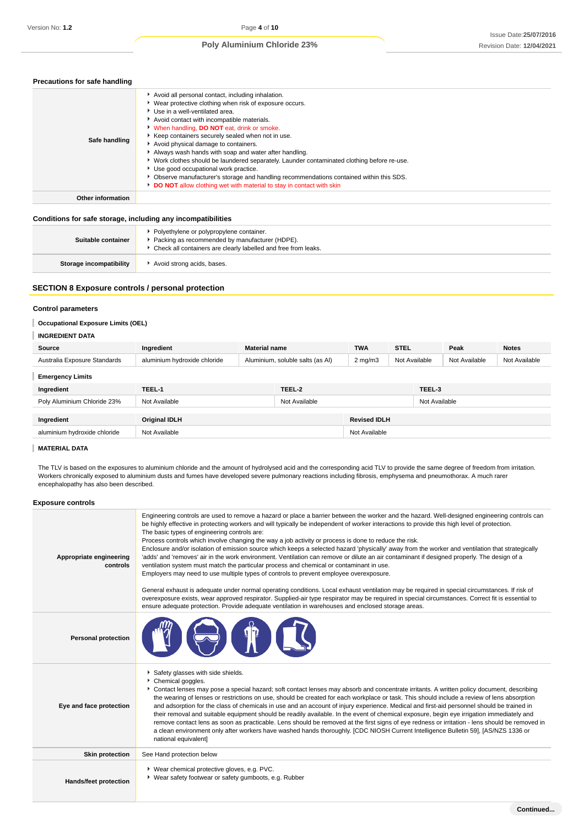## **Precautions for safe handling**

| Safe handling     | Avoid all personal contact, including inhalation.<br>▶ Wear protective clothing when risk of exposure occurs.<br>▶ Use in a well-ventilated area.<br>Avoid contact with incompatible materials.<br>When handling, DO NOT eat, drink or smoke.<br>▶ Keep containers securely sealed when not in use.<br>Avoid physical damage to containers.<br>Always wash hands with soap and water after handling.<br>• Work clothes should be laundered separately. Launder contaminated clothing before re-use.<br>Use good occupational work practice.<br>• Observe manufacturer's storage and handling recommendations contained within this SDS.<br>DO NOT allow clothing wet with material to stay in contact with skin |
|-------------------|-----------------------------------------------------------------------------------------------------------------------------------------------------------------------------------------------------------------------------------------------------------------------------------------------------------------------------------------------------------------------------------------------------------------------------------------------------------------------------------------------------------------------------------------------------------------------------------------------------------------------------------------------------------------------------------------------------------------|
| Other information |                                                                                                                                                                                                                                                                                                                                                                                                                                                                                                                                                                                                                                                                                                                 |
|                   |                                                                                                                                                                                                                                                                                                                                                                                                                                                                                                                                                                                                                                                                                                                 |

## **Conditions for safe storage, including any incompatibilities**

| Suitable container      | Polyethylene or polypropylene container.<br>Packing as recommended by manufacturer (HDPE).<br>Check all containers are clearly labelled and free from leaks. |
|-------------------------|--------------------------------------------------------------------------------------------------------------------------------------------------------------|
| Storage incompatibility | Avoid strong acids, bases.                                                                                                                                   |

## **SECTION 8 Exposure controls / personal protection**

## **Control parameters**

## **Occupational Exposure Limits (OEL)**

#### **INGREDIENT DATA**

| 110112111112717              |                                    |                                  |               |                     |               |               |               |               |
|------------------------------|------------------------------------|----------------------------------|---------------|---------------------|---------------|---------------|---------------|---------------|
| Source                       | <b>Material name</b><br>Ingredient |                                  |               | <b>TWA</b>          | <b>STEL</b>   |               | Peak          | <b>Notes</b>  |
| Australia Exposure Standards | aluminium hydroxide chloride       | Aluminium, soluble salts (as AI) |               | $2 \text{ mg/m}$    | Not Available |               | Not Available | Not Available |
| <b>Emergency Limits</b>      |                                    |                                  |               |                     |               |               |               |               |
| Ingredient                   | TEEL-1                             |                                  | TEEL-2        |                     |               | TEEL-3        |               |               |
| Poly Aluminium Chloride 23%  | Not Available                      |                                  | Not Available |                     |               | Not Available |               |               |
|                              |                                    |                                  |               |                     |               |               |               |               |
| Ingredient                   | <b>Original IDLH</b>               |                                  |               | <b>Revised IDLH</b> |               |               |               |               |
| aluminium hydroxide chloride | Not Available                      |                                  |               | Not Available       |               |               |               |               |

## **MATERIAL DATA**

The TLV is based on the exposures to aluminium chloride and the amount of hydrolysed acid and the corresponding acid TLV to provide the same degree of freedom from irritation. Workers chronically exposed to aluminium dusts and fumes have developed severe pulmonary reactions including fibrosis, emphysema and pneumothorax. A much rarer encephalopathy has also been described.

## **Exposure controls**

| Appropriate engineering<br>controls | Engineering controls are used to remove a hazard or place a barrier between the worker and the hazard. Well-designed engineering controls can<br>be highly effective in protecting workers and will typically be independent of worker interactions to provide this high level of protection.<br>The basic types of engineering controls are:<br>Process controls which involve changing the way a job activity or process is done to reduce the risk.<br>Enclosure and/or isolation of emission source which keeps a selected hazard 'physically' away from the worker and ventilation that strategically<br>'adds' and 'removes' air in the work environment. Ventilation can remove or dilute an air contaminant if designed properly. The design of a<br>ventilation system must match the particular process and chemical or contaminant in use.<br>Employers may need to use multiple types of controls to prevent employee overexposure.<br>General exhaust is adequate under normal operating conditions. Local exhaust ventilation may be required in special circumstances. If risk of<br>overexposure exists, wear approved respirator. Supplied-air type respirator may be required in special circumstances. Correct fit is essential to<br>ensure adequate protection. Provide adequate ventilation in warehouses and enclosed storage areas. |
|-------------------------------------|-------------------------------------------------------------------------------------------------------------------------------------------------------------------------------------------------------------------------------------------------------------------------------------------------------------------------------------------------------------------------------------------------------------------------------------------------------------------------------------------------------------------------------------------------------------------------------------------------------------------------------------------------------------------------------------------------------------------------------------------------------------------------------------------------------------------------------------------------------------------------------------------------------------------------------------------------------------------------------------------------------------------------------------------------------------------------------------------------------------------------------------------------------------------------------------------------------------------------------------------------------------------------------------------------------------------------------------------------------------|
| <b>Personal protection</b>          |                                                                                                                                                                                                                                                                                                                                                                                                                                                                                                                                                                                                                                                                                                                                                                                                                                                                                                                                                                                                                                                                                                                                                                                                                                                                                                                                                             |
| Eye and face protection             | Safety glasses with side shields.<br>Chemical goggles.<br>Contact lenses may pose a special hazard; soft contact lenses may absorb and concentrate irritants. A written policy document, describing<br>the wearing of lenses or restrictions on use, should be created for each workplace or task. This should include a review of lens absorption<br>and adsorption for the class of chemicals in use and an account of injury experience. Medical and first-aid personnel should be trained in<br>their removal and suitable equipment should be readily available. In the event of chemical exposure, begin eye irrigation immediately and<br>remove contact lens as soon as practicable. Lens should be removed at the first signs of eye redness or irritation - lens should be removed in<br>a clean environment only after workers have washed hands thoroughly. [CDC NIOSH Current Intelligence Bulletin 59], [AS/NZS 1336 or<br>national equivalent]                                                                                                                                                                                                                                                                                                                                                                                               |
| <b>Skin protection</b>              | See Hand protection below                                                                                                                                                                                                                                                                                                                                                                                                                                                                                                                                                                                                                                                                                                                                                                                                                                                                                                                                                                                                                                                                                                                                                                                                                                                                                                                                   |
| Hands/feet protection               | * Wear chemical protective gloves, e.g. PVC.<br>▶ Wear safety footwear or safety gumboots, e.g. Rubber                                                                                                                                                                                                                                                                                                                                                                                                                                                                                                                                                                                                                                                                                                                                                                                                                                                                                                                                                                                                                                                                                                                                                                                                                                                      |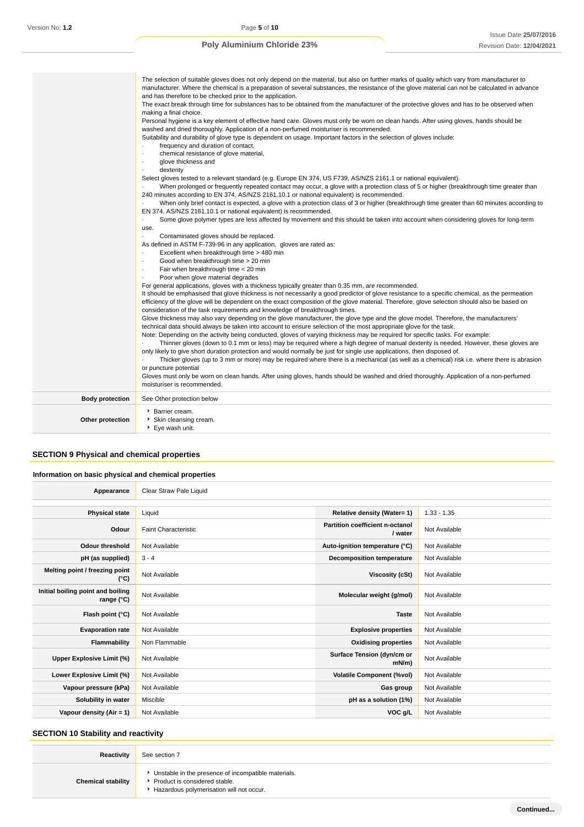|                        | The selection of suitable gloves does not only depend on the material, but also on further marks of quality which vary from manufacturer to<br>manufacturer. Where the chemical is a preparation of several substances, the resistance of the glove material can not be calculated in advance<br>and has therefore to be checked prior to the application.<br>The exact break through time for substances has to be obtained from the manufacturer of the protective gloves and has to be observed when<br>making a final choice.<br>Personal hygiene is a key element of effective hand care. Gloves must only be worn on clean hands. After using gloves, hands should be<br>washed and dried thoroughly. Application of a non-perfumed moisturiser is recommended.<br>Suitability and durability of glove type is dependent on usage. Important factors in the selection of gloves include:<br>frequency and duration of contact,<br>$\cdot$<br>chemical resistance of glove material,<br>$\cdot$<br>glove thickness and<br>dexterity<br>$\cdot$<br>Select gloves tested to a relevant standard (e.g. Europe EN 374, US F739, AS/NZS 2161.1 or national equivalent).<br>When prolonged or frequently repeated contact may occur, a glove with a protection class of 5 or higher (breakthrough time greater than<br>240 minutes according to EN 374, AS/NZS 2161.10.1 or national equivalent) is recommended.<br>When only brief contact is expected, a glove with a protection class of 3 or higher (breakthrough time greater than 60 minutes according to<br>EN 374, AS/NZS 2161.10.1 or national equivalent) is recommended.<br>Some glove polymer types are less affected by movement and this should be taken into account when considering gloves for long-term<br>use.<br>Contaminated gloves should be replaced.<br>As defined in ASTM F-739-96 in any application, gloves are rated as:<br>Excellent when breakthrough time > 480 min<br>$\cdot$<br>Good when breakthrough time > 20 min<br>$\cdot$<br>Fair when breakthrough time < 20 min<br>Poor when glove material degrades<br>For general applications, gloves with a thickness typically greater than 0.35 mm, are recommended.<br>It should be emphasised that glove thickness is not necessarily a good predictor of glove resistance to a specific chemical, as the permeation<br>efficiency of the glove will be dependent on the exact composition of the glove material. Therefore, glove selection should also be based on<br>consideration of the task requirements and knowledge of breakthrough times.<br>Glove thickness may also vary depending on the glove manufacturer, the glove type and the glove model. Therefore, the manufacturers'<br>technical data should always be taken into account to ensure selection of the most appropriate glove for the task.<br>Note: Depending on the activity being conducted, gloves of varying thickness may be required for specific tasks. For example:<br>Thinner gloves (down to 0.1 mm or less) may be required where a high degree of manual dexterity is needed. However, these gloves are<br>only likely to give short duration protection and would normally be just for single use applications, then disposed of.<br>Thicker gloves (up to 3 mm or more) may be required where there is a mechanical (as well as a chemical) risk i.e. where there is abrasion<br>or puncture potential<br>Gloves must only be worn on clean hands. After using gloves, hands should be washed and dried thoroughly. Application of a non-perfumed<br>moisturiser is recommended. |
|------------------------|-------------------------------------------------------------------------------------------------------------------------------------------------------------------------------------------------------------------------------------------------------------------------------------------------------------------------------------------------------------------------------------------------------------------------------------------------------------------------------------------------------------------------------------------------------------------------------------------------------------------------------------------------------------------------------------------------------------------------------------------------------------------------------------------------------------------------------------------------------------------------------------------------------------------------------------------------------------------------------------------------------------------------------------------------------------------------------------------------------------------------------------------------------------------------------------------------------------------------------------------------------------------------------------------------------------------------------------------------------------------------------------------------------------------------------------------------------------------------------------------------------------------------------------------------------------------------------------------------------------------------------------------------------------------------------------------------------------------------------------------------------------------------------------------------------------------------------------------------------------------------------------------------------------------------------------------------------------------------------------------------------------------------------------------------------------------------------------------------------------------------------------------------------------------------------------------------------------------------------------------------------------------------------------------------------------------------------------------------------------------------------------------------------------------------------------------------------------------------------------------------------------------------------------------------------------------------------------------------------------------------------------------------------------------------------------------------------------------------------------------------------------------------------------------------------------------------------------------------------------------------------------------------------------------------------------------------------------------------------------------------------------------------------------------------------------------------------------------------------------------------------------------------------------------------------------------------------------------------------------------------------------------------------------------------------------------------------------------------------------------------------------------------------------------------------------------------------------------------------------------------------------------------------------------------------------------------------------------------------|
| <b>Body protection</b> | See Other protection below                                                                                                                                                                                                                                                                                                                                                                                                                                                                                                                                                                                                                                                                                                                                                                                                                                                                                                                                                                                                                                                                                                                                                                                                                                                                                                                                                                                                                                                                                                                                                                                                                                                                                                                                                                                                                                                                                                                                                                                                                                                                                                                                                                                                                                                                                                                                                                                                                                                                                                                                                                                                                                                                                                                                                                                                                                                                                                                                                                                                                                                                                                                                                                                                                                                                                                                                                                                                                                                                                                                                                                            |
|                        | Barrier cream.                                                                                                                                                                                                                                                                                                                                                                                                                                                                                                                                                                                                                                                                                                                                                                                                                                                                                                                                                                                                                                                                                                                                                                                                                                                                                                                                                                                                                                                                                                                                                                                                                                                                                                                                                                                                                                                                                                                                                                                                                                                                                                                                                                                                                                                                                                                                                                                                                                                                                                                                                                                                                                                                                                                                                                                                                                                                                                                                                                                                                                                                                                                                                                                                                                                                                                                                                                                                                                                                                                                                                                                        |
| Other protection       | Skin cleansing cream.<br>▶ Eye wash unit.                                                                                                                                                                                                                                                                                                                                                                                                                                                                                                                                                                                                                                                                                                                                                                                                                                                                                                                                                                                                                                                                                                                                                                                                                                                                                                                                                                                                                                                                                                                                                                                                                                                                                                                                                                                                                                                                                                                                                                                                                                                                                                                                                                                                                                                                                                                                                                                                                                                                                                                                                                                                                                                                                                                                                                                                                                                                                                                                                                                                                                                                                                                                                                                                                                                                                                                                                                                                                                                                                                                                                             |

## **SECTION 9 Physical and chemical properties**

## **Information on basic physical and chemical properties**

| Appearance                                      | Clear Straw Pale Liquid     |                                            |               |
|-------------------------------------------------|-----------------------------|--------------------------------------------|---------------|
|                                                 |                             |                                            |               |
| <b>Physical state</b>                           | Liquid                      | Relative density (Water= 1)                | $1.33 - 1.35$ |
| Odour                                           | <b>Faint Characteristic</b> | Partition coefficient n-octanol<br>/ water | Not Available |
| <b>Odour threshold</b>                          | Not Available               | Auto-ignition temperature (°C)             | Not Available |
| pH (as supplied)                                | $3 - 4$                     | <b>Decomposition temperature</b>           | Not Available |
| Melting point / freezing point<br>(°C)          | Not Available               | Viscosity (cSt)                            | Not Available |
| Initial boiling point and boiling<br>range (°C) | Not Available               | Molecular weight (g/mol)                   | Not Available |
| Flash point (°C)                                | Not Available               | <b>Taste</b>                               | Not Available |
| <b>Evaporation rate</b>                         | Not Available               | <b>Explosive properties</b>                | Not Available |
| Flammability                                    | Non Flammable               | <b>Oxidising properties</b>                | Not Available |
| Upper Explosive Limit (%)                       | Not Available               | Surface Tension (dyn/cm or<br>$mN/m$ )     | Not Available |
| Lower Explosive Limit (%)                       | Not Available               | <b>Volatile Component (%vol)</b>           | Not Available |
| Vapour pressure (kPa)                           | Not Available               | Gas group                                  | Not Available |
| Solubility in water                             | Miscible                    | pH as a solution (1%)                      | Not Available |
| Vapour density $(Air = 1)$                      | Not Available               | VOC g/L                                    | Not Available |

## **SECTION 10 Stability and reactivity**

| Reactivity                | See section 7                                                                                                                      |
|---------------------------|------------------------------------------------------------------------------------------------------------------------------------|
| <b>Chemical stability</b> | Unstable in the presence of incompatible materials.<br>▶ Product is considered stable.<br>Hazardous polymerisation will not occur. |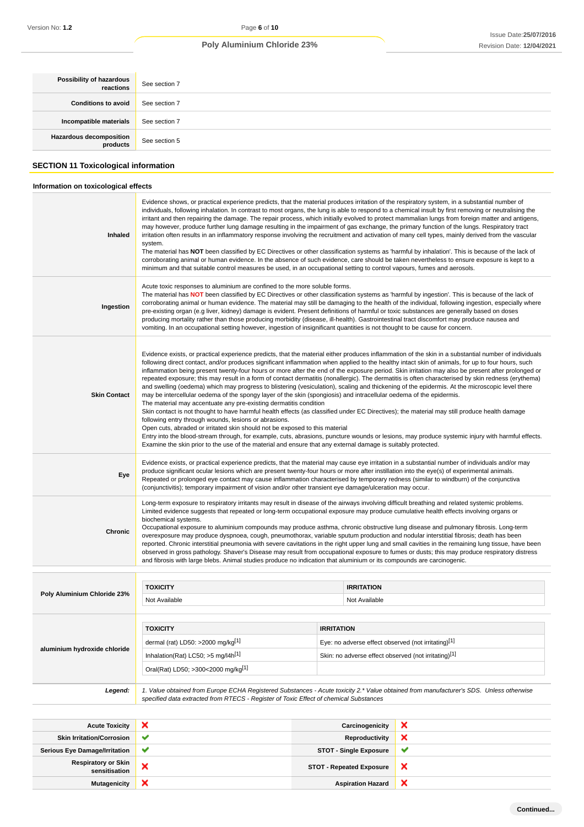| Possibility of hazardous<br>reactions       | See section 7 |
|---------------------------------------------|---------------|
| <b>Conditions to avoid</b>                  | See section 7 |
| Incompatible materials                      | See section 7 |
| <b>Hazardous decomposition</b><br>products  | See section 5 |
| <b>SECTION 11 Toxicological information</b> |               |
| Information on toxicological effects        |               |

| <b>Respiratory or Skin</b><br>sensitisation | <b>STOT - Single Exposure</b><br>×<br>×<br><b>STOT - Repeated Exposure</b>                                                                                                                                                                                                                                                                                                                                                                                                                                                                                                                                                                                                                                                                                                                                                                                                                                                                                                                                                                                                                                                                                                                                                                                                                                                                                                                                                                                                                                                     |                   |                                                      |   |  |  |
|---------------------------------------------|--------------------------------------------------------------------------------------------------------------------------------------------------------------------------------------------------------------------------------------------------------------------------------------------------------------------------------------------------------------------------------------------------------------------------------------------------------------------------------------------------------------------------------------------------------------------------------------------------------------------------------------------------------------------------------------------------------------------------------------------------------------------------------------------------------------------------------------------------------------------------------------------------------------------------------------------------------------------------------------------------------------------------------------------------------------------------------------------------------------------------------------------------------------------------------------------------------------------------------------------------------------------------------------------------------------------------------------------------------------------------------------------------------------------------------------------------------------------------------------------------------------------------------|-------------------|------------------------------------------------------|---|--|--|
| <b>Serious Eye Damage/Irritation</b>        | ✔                                                                                                                                                                                                                                                                                                                                                                                                                                                                                                                                                                                                                                                                                                                                                                                                                                                                                                                                                                                                                                                                                                                                                                                                                                                                                                                                                                                                                                                                                                                              |                   |                                                      | ✔ |  |  |
| <b>Skin Irritation/Corrosion</b>            | ✔                                                                                                                                                                                                                                                                                                                                                                                                                                                                                                                                                                                                                                                                                                                                                                                                                                                                                                                                                                                                                                                                                                                                                                                                                                                                                                                                                                                                                                                                                                                              |                   | <b>Reproductivity</b>                                | × |  |  |
| <b>Acute Toxicity</b>                       | ×                                                                                                                                                                                                                                                                                                                                                                                                                                                                                                                                                                                                                                                                                                                                                                                                                                                                                                                                                                                                                                                                                                                                                                                                                                                                                                                                                                                                                                                                                                                              |                   | Carcinogenicity                                      | × |  |  |
| Legend:                                     | 1. Value obtained from Europe ECHA Registered Substances - Acute toxicity 2.* Value obtained from manufacturer's SDS. Unless otherwise<br>specified data extracted from RTECS - Register of Toxic Effect of chemical Substances                                                                                                                                                                                                                                                                                                                                                                                                                                                                                                                                                                                                                                                                                                                                                                                                                                                                                                                                                                                                                                                                                                                                                                                                                                                                                                |                   |                                                      |   |  |  |
|                                             | Oral(Rat) LD50; >300<2000 mg/kg[1]                                                                                                                                                                                                                                                                                                                                                                                                                                                                                                                                                                                                                                                                                                                                                                                                                                                                                                                                                                                                                                                                                                                                                                                                                                                                                                                                                                                                                                                                                             |                   |                                                      |   |  |  |
| aluminium hydroxide chloride                | Inhalation(Rat) LC50; >5 mg/l4h <sup>[1]</sup>                                                                                                                                                                                                                                                                                                                                                                                                                                                                                                                                                                                                                                                                                                                                                                                                                                                                                                                                                                                                                                                                                                                                                                                                                                                                                                                                                                                                                                                                                 |                   | Skin: no adverse effect observed (not irritating)[1] |   |  |  |
|                                             | dermal (rat) LD50: >2000 mg/kg[1]                                                                                                                                                                                                                                                                                                                                                                                                                                                                                                                                                                                                                                                                                                                                                                                                                                                                                                                                                                                                                                                                                                                                                                                                                                                                                                                                                                                                                                                                                              |                   | Eye: no adverse effect observed (not irritating)[1]  |   |  |  |
|                                             | <b>TOXICITY</b>                                                                                                                                                                                                                                                                                                                                                                                                                                                                                                                                                                                                                                                                                                                                                                                                                                                                                                                                                                                                                                                                                                                                                                                                                                                                                                                                                                                                                                                                                                                | <b>IRRITATION</b> |                                                      |   |  |  |
|                                             | Not Available                                                                                                                                                                                                                                                                                                                                                                                                                                                                                                                                                                                                                                                                                                                                                                                                                                                                                                                                                                                                                                                                                                                                                                                                                                                                                                                                                                                                                                                                                                                  |                   | Not Available                                        |   |  |  |
| Poly Aluminium Chloride 23%                 | <b>TOXICITY</b>                                                                                                                                                                                                                                                                                                                                                                                                                                                                                                                                                                                                                                                                                                                                                                                                                                                                                                                                                                                                                                                                                                                                                                                                                                                                                                                                                                                                                                                                                                                |                   | <b>IRRITATION</b>                                    |   |  |  |
|                                             |                                                                                                                                                                                                                                                                                                                                                                                                                                                                                                                                                                                                                                                                                                                                                                                                                                                                                                                                                                                                                                                                                                                                                                                                                                                                                                                                                                                                                                                                                                                                |                   |                                                      |   |  |  |
| Chronic                                     | Long-term exposure to respiratory irritants may result in disease of the airways involving difficult breathing and related systemic problems.<br>Limited evidence suggests that repeated or long-term occupational exposure may produce cumulative health effects involving organs or<br>biochemical systems.<br>Occupational exposure to aluminium compounds may produce asthma, chronic obstructive lung disease and pulmonary fibrosis. Long-term<br>overexposure may produce dyspnoea, cough, pneumothorax, variable sputum production and nodular interstitial fibrosis; death has been<br>reported. Chronic interstitial pneumonia with severe cavitations in the right upper lung and small cavities in the remaining lung tissue, have been<br>observed in gross pathology. Shaver's Disease may result from occupational exposure to fumes or dusts; this may produce respiratory distress<br>and fibrosis with large blebs. Animal studies produce no indication that aluminium or its compounds are carcinogenic.                                                                                                                                                                                                                                                                                                                                                                                                                                                                                                   |                   |                                                      |   |  |  |
| Eye                                         | Evidence exists, or practical experience predicts, that the material may cause eye irritation in a substantial number of individuals and/or may<br>produce significant ocular lesions which are present twenty-four hours or more after instillation into the eye(s) of experimental animals.<br>Repeated or prolonged eye contact may cause inflammation characterised by temporary redness (similar to windburn) of the conjunctiva<br>(conjunctivitis); temporary impairment of vision and/or other transient eye damage/ulceration may occur.                                                                                                                                                                                                                                                                                                                                                                                                                                                                                                                                                                                                                                                                                                                                                                                                                                                                                                                                                                              |                   |                                                      |   |  |  |
| <b>Skin Contact</b>                         | Evidence exists, or practical experience predicts, that the material either produces inflammation of the skin in a substantial number of individuals<br>following direct contact, and/or produces significant inflammation when applied to the healthy intact skin of animals, for up to four hours, such<br>inflammation being present twenty-four hours or more after the end of the exposure period. Skin irritation may also be present after prolonged or<br>repeated exposure; this may result in a form of contact dermatitis (nonallergic). The dermatitis is often characterised by skin redness (erythema)<br>and swelling (oedema) which may progress to blistering (vesiculation), scaling and thickening of the epidermis. At the microscopic level there<br>may be intercellular oedema of the spongy layer of the skin (spongiosis) and intracellular oedema of the epidermis.<br>The material may accentuate any pre-existing dermatitis condition<br>Skin contact is not thought to have harmful health effects (as classified under EC Directives); the material may still produce health damage<br>following entry through wounds, lesions or abrasions.<br>Open cuts, abraded or irritated skin should not be exposed to this material<br>Entry into the blood-stream through, for example, cuts, abrasions, puncture wounds or lesions, may produce systemic injury with harmful effects.<br>Examine the skin prior to the use of the material and ensure that any external damage is suitably protected. |                   |                                                      |   |  |  |
| Ingestion                                   | Acute toxic responses to aluminium are confined to the more soluble forms.<br>The material has NOT been classified by EC Directives or other classification systems as 'harmful by ingestion'. This is because of the lack of<br>corroborating animal or human evidence. The material may still be damaging to the health of the individual, following ingestion, especially where<br>pre-existing organ (e.g liver, kidney) damage is evident. Present definitions of harmful or toxic substances are generally based on doses<br>producing mortality rather than those producing morbidity (disease, ill-health). Gastrointestinal tract discomfort may produce nausea and<br>vomiting. In an occupational setting however, ingestion of insignificant quantities is not thought to be cause for concern.                                                                                                                                                                                                                                                                                                                                                                                                                                                                                                                                                                                                                                                                                                                    |                   |                                                      |   |  |  |
| Inhaled                                     | system.<br>The material has NOT been classified by EC Directives or other classification systems as 'harmful by inhalation'. This is because of the lack of<br>corroborating animal or human evidence. In the absence of such evidence, care should be taken nevertheless to ensure exposure is kept to a<br>minimum and that suitable control measures be used, in an occupational setting to control vapours, fumes and aerosols.                                                                                                                                                                                                                                                                                                                                                                                                                                                                                                                                                                                                                                                                                                                                                                                                                                                                                                                                                                                                                                                                                            |                   |                                                      |   |  |  |
|                                             | Evidence shows, or practical experience predicts, that the material produces irritation of the respiratory system, in a substantial number of<br>individuals, following inhalation. In contrast to most organs, the lung is able to respond to a chemical insult by first removing or neutralising the<br>irritant and then repairing the damage. The repair process, which initially evolved to protect mammalian lungs from foreign matter and antigens,<br>may however, produce further lung damage resulting in the impairment of gas exchange, the primary function of the lungs. Respiratory tract<br>irritation often results in an inflammatory response involving the recruitment and activation of many cell types, mainly derived from the vascular                                                                                                                                                                                                                                                                                                                                                                                                                                                                                                                                                                                                                                                                                                                                                                 |                   |                                                      |   |  |  |

**Mutagenicity X** Aspiration Hazard

 $\pmb{\times}$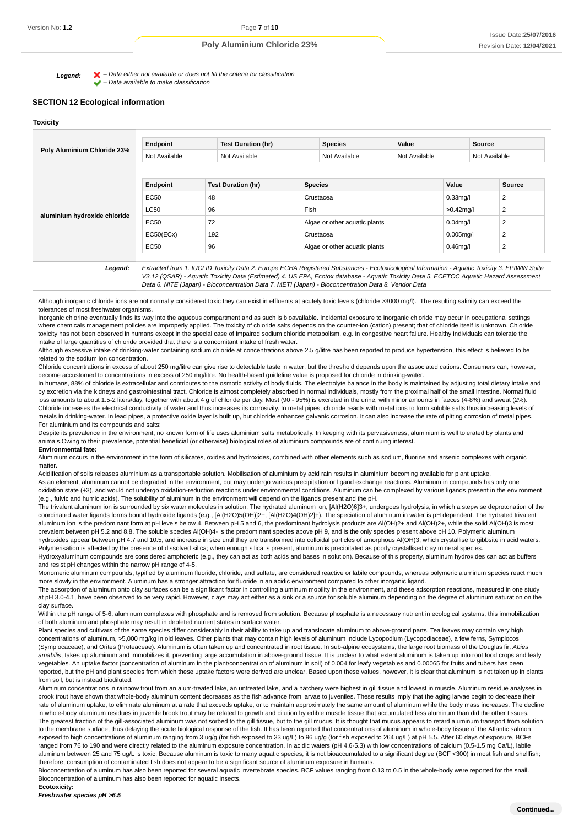Legend:  $\blacktriangleright$  - Data either not available or does not till the criteria for classification  $\blacktriangleright$  – Data available to make classification

#### **SECTION 12 Ecological information**

| Poly Aluminium Chloride 23%  | Endpoint                       | <b>Test Duration (hr)</b> | <b>Species</b> |                               | Value         |              | Source        |        |
|------------------------------|--------------------------------|---------------------------|----------------|-------------------------------|---------------|--------------|---------------|--------|
|                              | Not Available<br>Not Available |                           |                | Not Available                 | Not Available |              | Not Available |        |
|                              | Endpoint                       | <b>Test Duration (hr)</b> | <b>Species</b> |                               |               | Value        |               | Source |
|                              | EC50                           | 48                        |                | Crustacea                     |               | $0.33$ mg/l  |               | 2      |
|                              | <b>LC50</b>                    | 96                        | Fish           |                               |               | $>0.42$ mg/l |               | 2      |
| aluminium hydroxide chloride | EC50                           | 72                        |                | Algae or other aquatic plants |               | $0.04$ mg/l  |               | 2      |
|                              | EC50(ECx)                      | 192                       |                | Crustacea                     |               |              | $0.005$ mg/l  | 2      |
|                              | EC50                           | 96                        |                | Algae or other aquatic plants |               |              | $0.46$ mg/l   | 2      |

Data 6. NITE (Japan) - Bioconcentration Data 7. METI (Japan) - Bioconcentration Data 8. Vendor Data

Although inorganic chloride ions are not normally considered toxic they can exist in effluents at acutely toxic levels (chloride >3000 mg/l). The resulting salinity can exceed the tolerances of most freshwater organisms.

Inorganic chlorine eventually finds its way into the aqueous compartment and as such is bioavailable. Incidental exposure to inorganic chloride may occur in occupational settings where chemicals management policies are improperly applied. The toxicity of chloride salts depends on the counter-ion (cation) present; that of chloride itself is unknown. Chloride toxicity has not been observed in humans except in the special case of impaired sodium chloride metabolism, e.g. in congestive heart failure. Healthy individuals can tolerate the intake of large quantities of chloride provided that there is a concomitant intake of fresh water.

Although excessive intake of drinking-water containing sodium chloride at concentrations above 2.5 g/litre has been reported to produce hypertension, this effect is believed to be related to the sodium ion concentration.

Chloride concentrations in excess of about 250 mg/litre can give rise to detectable taste in water, but the threshold depends upon the associated cations. Consumers can, however, become accustomed to concentrations in excess of 250 mg/litre. No health-based guideline value is proposed for chloride in drinking-water.

In humans, 88% of chloride is extracellular and contributes to the osmotic activity of body fluids. The electrolyte balance in the body is maintained by adjusting total dietary intake and by excretion via the kidneys and gastrointestinal tract. Chloride is almost completely absorbed in normal individuals, mostly from the proximal half of the small intestine. Normal fluid loss amounts to about 1.5-2 liters/day, together with about 4 g of chloride per day. Most (90 - 95%) is excreted in the urine, with minor amounts in faeces (4-8%) and sweat (2%). Chloride increases the electrical conductivity of water and thus increases its corrosivity. In metal pipes, chloride reacts with metal ions to form soluble salts thus increasing levels of metals in drinking-water. In lead pipes, a protective oxide layer is built up, but chloride enhances galvanic corrosion. It can also increase the rate of pitting corrosion of metal pipes. For aluminium and its compounds and salts:

Despite its prevalence in the environment, no known form of life uses aluminium salts metabolically. In keeping with its pervasiveness, aluminium is well tolerated by plants and animals.Owing to their prevalence, potential beneficial (or otherwise) biological roles of aluminium compounds are of continuing interest.

#### **Environmental fate:**

Aluminium occurs in the environment in the form of silicates, oxides and hydroxides, combined with other elements such as sodium, fluorine and arsenic complexes with organic matter.

Acidification of soils releases aluminium as a transportable solution. Mobilisation of aluminium by acid rain results in aluminium becoming available for plant uptake. As an element, aluminum cannot be degraded in the environment, but may undergo various precipitation or ligand exchange reactions. Aluminum in compounds has only one oxidation state (+3), and would not undergo oxidation-reduction reactions under environmental conditions. Aluminum can be complexed by various ligands present in the environment (e.g., fulvic and humic acids). The solubility of aluminum in the environment will depend on the ligands present and the pH.

The trivalent aluminum ion is surrounded by six water molecules in solution. The hydrated aluminum ion, [Al(H2O)6]3+, undergoes hydrolysis, in which a stepwise deprotonation of the coordinated water ligands forms bound hydroxide ligands (e.g., [Al(H2O)5(OH)]2+, [Al(H2O)4(OH)2]+). The speciation of aluminum in water is pH dependent. The hydrated trivalent aluminum ion is the predominant form at pH levels below 4. Between pH 5 and 6, the predominant hydrolysis products are Al(OH)2+ and Al(OH)2+, while the solid Al(OH)3 is most prevalent between pH 5.2 and 8.8. The soluble species Al(OH)4- is the predominant species above pH 9, and is the only species present above pH 10. Polymeric aluminum hydroxides appear between pH 4.7 and 10.5, and increase in size until they are transformed into colloidal particles of amorphous Al(OH)3, which crystallise to gibbsite in acid waters.

Polymerisation is affected by the presence of dissolved silica; when enough silica is present, aluminum is precipitated as poorly crystallised clay mineral species. Hydroxyaluminum compounds are considered amphoteric (e.g., they can act as both acids and bases in solution). Because of this property, aluminum hydroxides can act as buffers

and resist pH changes within the narrow pH range of 4-5.

Monomeric aluminum compounds, typified by aluminum fluoride, chloride, and sulfate, are considered reactive or labile compounds, whereas polymeric aluminum species react much more slowly in the environment. Aluminum has a stronger attraction for fluoride in an acidic environment compared to other inorganic ligand.

The adsorption of aluminum onto clay surfaces can be a significant factor in controlling aluminum mobility in the environment, and these adsorption reactions, measured in one study at pH 3.0-4.1, have been observed to be very rapid. However, clays may act either as a sink or a source for soluble aluminum depending on the degree of aluminum saturation on the clay surface.

Within the pH range of 5-6, aluminum complexes with phosphate and is removed from solution. Because phosphate is a necessary nutrient in ecological systems, this immobilization of both aluminum and phosphate may result in depleted nutrient states in surface water.

Plant species and cultivars of the same species differ considerably in their ability to take up and translocate aluminum to above-ground parts. Tea leaves may contain very high concentrations of aluminum, >5,000 mg/kg in old leaves. Other plants that may contain high levels of aluminum include Lycopodium (Lycopodiaceae), a few ferns, Symplocos (Symplocaceae), and Orites (Proteaceae). Aluminum is often taken up and concentrated in root tissue. In sub-alpine ecosystems, the large root biomass of the Douglas fir, Abies amabilis, takes up aluminum and immobilizes it, preventing large accumulation in above-ground tissue. It is unclear to what extent aluminum is taken up into root food crops and leafy vegetables. An uptake factor (concentration of aluminum in the plant/concentration of aluminum in soil) of 0.004 for leafy vegetables and 0.00065 for fruits and tubers has been reported, but the pH and plant species from which these uptake factors were derived are unclear. Based upon these values, however, it is clear that aluminum is not taken up in plants from soil, but is instead biodiluted.

Aluminum concentrations in rainbow trout from an alum-treated lake, an untreated lake, and a hatchery were highest in gill tissue and lowest in muscle. Aluminum residue analyses in brook trout have shown that whole-body aluminum content decreases as the fish advance from larvae to juveniles. These results imply that the aging larvae begin to decrease their rate of aluminum uptake, to eliminate aluminum at a rate that exceeds uptake, or to maintain approximately the same amount of aluminum while the body mass increases. The decline in whole-body aluminum residues in juvenile brook trout may be related to growth and dilution by edible muscle tissue that accumulated less aluminum than did the other tissues. The greatest fraction of the gill-associated aluminum was not sorbed to the gill tissue, but to the gill mucus. It is thought that mucus appears to retard aluminum transport from solution to the membrane surface, thus delaying the acute biological response of the fish. It has been reported that concentrations of aluminum in whole-body tissue of the Atlantic salmon exposed to high concentrations of aluminum ranging from 3 ug/g (for fish exposed to 33 ug/L) to 96 ug/g (for fish exposed to 264 ug/L) at pH 5.5. After 60 days of exposure, BCFs ranged from 76 to 190 and were directly related to the aluminum exposure concentration. In acidic waters (pH 4.6-5.3) with low concentrations of calcium (0.5-1.5 mg Ca/L), labile aluminum between 25 and 75 ug/L is toxic. Because aluminum is toxic to many aquatic species, it is not bioaccumulated to a significant degree (BCF <300) in most fish and shellfish; therefore, consumption of contaminated fish does not appear to be a significant source of aluminum exposure in humans.

Bioconcentration of aluminum has also been reported for several aquatic invertebrate species. BCF values ranging from 0.13 to 0.5 in the whole-body were reported for the snail. Bioconcentration of aluminum has also been reported for aquatic insects.

**Ecotoxicity:**

**Freshwater species pH >6.5**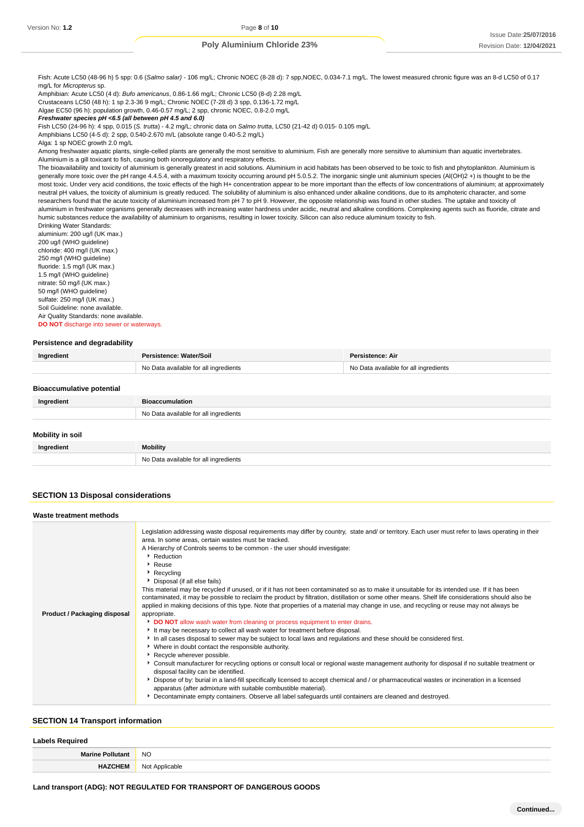Fish: Acute LC50 (48-96 h) 5 spp: 0.6 (Salmo salar) - 106 mg/L; Chronic NOEC (8-28 d): 7 spp,NOEC, 0.034-7.1 mg/L. The lowest measured chronic figure was an 8-d LC50 of 0.17 mg/L for Micropterus sp.

Amphibian: Acute LC50 (4 d): Bufo americanus, 0.86-1.66 mg/L; Chronic LC50 (8-d) 2.28 mg/L Crustaceans LC50 (48 h): 1 sp 2.3-36 9 mg/L; Chronic NOEC (7-28 d) 3 spp, 0.136-1.72 mg/L

Algae EC50 (96 h): population growth, 0.46-0.57 mg/L; 2 spp, chronic NOEC, 0.8-2.0 mg/L

**Freshwater species pH <6.5 (all between pH 4.5 and 6.0)**

Fish LC50 (24-96 h): 4 spp, 0.015 (S. trutta) - 4.2 mg/L; chronic data on Salmo trutta, LC50 (21-42 d) 0.015- 0.105 mg/L

Amphibians LC50 (4-5 d): 2 spp, 0.540-2.670 m/L (absolute range 0.40-5.2 mg/L)

Alga: 1 sp NOEC growth 2.0 mg/L

Among freshwater aquatic plants, single-celled plants are generally the most sensitive to aluminium. Fish are generally more sensitive to aluminium than aquatic invertebrates. Aluminium is a gill toxicant to fish, causing both ionoregulatory and respiratory effects.

The bioavailability and toxicity of aluminium is generally greatest in acid solutions. Aluminium in acid habitats has been observed to be toxic to fish and phytoplankton. Aluminium is generally more toxic over the pH range 4.4.5.4, with a maximum toxicity occurring around pH 5.0.5.2. The inorganic single unit aluminium species (Al(OH)2 +) is thought to be the most toxic. Under very acid conditions, the toxic effects of the high H+ concentration appear to be more important than the effects of low concentrations of aluminium; at approximately neutral pH values, the toxicity of aluminium is greatly reduced. The solubility of aluminium is also enhanced under alkaline conditions, due to its amphoteric character, and some researchers found that the acute toxicity of aluminium increased from pH 7 to pH 9. However, the opposite relationship was found in other studies. The uptake and toxicity of aluminium in freshwater organisms generally decreases with increasing water hardness under acidic, neutral and alkaline conditions. Complexing agents such as fluoride, citrate and humic substances reduce the availability of aluminium to organisms, resulting in lower toxicity. Silicon can also reduce aluminium toxicity to fish. Drinking Water Standards:

aluminium: 200 ug/l (UK max.) 200 ug/l (WHO guideline) chloride: 400 mg/l (UK max.) 250 mg/l (WHO guideline) fluoride: 1.5 mg/l (UK max.) 1.5 mg/l (WHO guideline) nitrate: 50 mg/l (UK max.) 50 mg/l (WHO guideline) sulfate: 250 mg/l (UK max.) Soil Guideline: none available. Air Quality Standards: none available. **DO NOT** discharge into sewer or waterways.

#### **Persistence and degradability**

| Ingredient                       | Persistence: Water/Soil               | Persistence: Air                      |
|----------------------------------|---------------------------------------|---------------------------------------|
|                                  | No Data available for all ingredients | No Data available for all ingredients |
| <b>Bioaccumulative potential</b> |                                       |                                       |
|                                  |                                       |                                       |
| Ingradiant                       | <b>Riogecumulation</b>                |                                       |

| Ingredient              | <b>Bioaccumulation</b>                |
|-------------------------|---------------------------------------|
|                         | No Data available for all ingredients |
| <b>Mobility in soil</b> |                                       |
| Ingredient              | <b>Mobility</b>                       |
|                         | No Data available for all ingredients |

#### **SECTION 13 Disposal considerations**

| Waste treatment methods      |                                                                                                                                                                                                                                                                                                                                                                                                                                                                                                                                                                                                                                                                                                                                                                                                                                                                                                                                                                                                                                                                                                                                                                                                                                                                                                                                                                                                                                                                                                                                                                                                                                                                                                                              |
|------------------------------|------------------------------------------------------------------------------------------------------------------------------------------------------------------------------------------------------------------------------------------------------------------------------------------------------------------------------------------------------------------------------------------------------------------------------------------------------------------------------------------------------------------------------------------------------------------------------------------------------------------------------------------------------------------------------------------------------------------------------------------------------------------------------------------------------------------------------------------------------------------------------------------------------------------------------------------------------------------------------------------------------------------------------------------------------------------------------------------------------------------------------------------------------------------------------------------------------------------------------------------------------------------------------------------------------------------------------------------------------------------------------------------------------------------------------------------------------------------------------------------------------------------------------------------------------------------------------------------------------------------------------------------------------------------------------------------------------------------------------|
| Product / Packaging disposal | Legislation addressing waste disposal requirements may differ by country, state and/ or territory. Each user must refer to laws operating in their<br>area. In some areas, certain wastes must be tracked.<br>A Hierarchy of Controls seems to be common - the user should investigate:<br>Reduction<br>▶ Reuse<br>Recycling<br>Disposal (if all else fails)<br>This material may be recycled if unused, or if it has not been contaminated so as to make it unsuitable for its intended use. If it has been<br>contaminated, it may be possible to reclaim the product by filtration, distillation or some other means. Shelf life considerations should also be<br>applied in making decisions of this type. Note that properties of a material may change in use, and recycling or reuse may not always be<br>appropriate.<br>DO NOT allow wash water from cleaning or process equipment to enter drains.<br>It may be necessary to collect all wash water for treatment before disposal.<br>In all cases disposal to sewer may be subject to local laws and regulations and these should be considered first.<br>• Where in doubt contact the responsible authority.<br>Recycle wherever possible.<br>Consult manufacturer for recycling options or consult local or regional waste management authority for disposal if no suitable treatment or<br>disposal facility can be identified.<br>▶ Dispose of by: burial in a land-fill specifically licensed to accept chemical and / or pharmaceutical wastes or incineration in a licensed<br>apparatus (after admixture with suitable combustible material).<br>Decontaminate empty containers. Observe all label safeguards until containers are cleaned and destroyed. |

#### **SECTION 14 Transport information**

#### **Labels Required**

| Mar<br>лш<br>and the control of the con-  | <b>NO</b>                  |
|-------------------------------------------|----------------------------|
| $\sim$ $\sim$ $\sim$ $\sim$ $\sim$ $\sim$ | . Annlicahle<br><b>NOT</b> |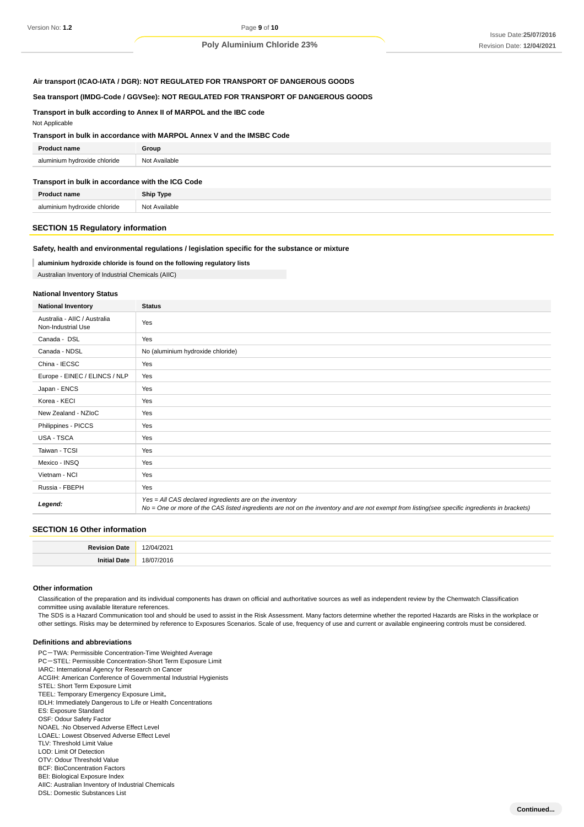## **Air transport (ICAO-IATA / DGR): NOT REGULATED FOR TRANSPORT OF DANGEROUS GOODS**

## **Sea transport (IMDG-Code / GGVSee): NOT REGULATED FOR TRANSPORT OF DANGEROUS GOODS**

## **Transport in bulk according to Annex II of MARPOL and the IBC code**

Not Applicable

### **Transport in bulk in accordance with MARPOL Annex V and the IMSBC Code**

| Dr.                                      | Group            |
|------------------------------------------|------------------|
| wdroxide chloride<br>alur<br>minium<br>. | Not<br>Available |

#### **Transport in bulk in accordance with the ICG Code**

| <b>Product name</b>          | <b>Ship Type</b> |
|------------------------------|------------------|
| aluminium hydroxide chloride | Not Available    |

#### **SECTION 15 Regulatory information**

#### **Safety, health and environmental regulations / legislation specific for the substance or mixture**

## **aluminium hydroxide chloride is found on the following regulatory lists**

Australian Inventory of Industrial Chemicals (AIIC)

## **National Inventory Status**

| <b>National Inventory</b>                          | <b>Status</b>                                                                                                                                                                                            |
|----------------------------------------------------|----------------------------------------------------------------------------------------------------------------------------------------------------------------------------------------------------------|
| Australia - AIIC / Australia<br>Non-Industrial Use | Yes                                                                                                                                                                                                      |
| Canada - DSL                                       | Yes                                                                                                                                                                                                      |
| Canada - NDSL                                      | No (aluminium hydroxide chloride)                                                                                                                                                                        |
| China - IECSC                                      | Yes                                                                                                                                                                                                      |
| Europe - EINEC / ELINCS / NLP                      | Yes                                                                                                                                                                                                      |
| Japan - ENCS                                       | Yes                                                                                                                                                                                                      |
| Korea - KECI                                       | Yes                                                                                                                                                                                                      |
| New Zealand - NZIoC                                | Yes                                                                                                                                                                                                      |
| Philippines - PICCS                                | Yes                                                                                                                                                                                                      |
| USA - TSCA                                         | Yes                                                                                                                                                                                                      |
| Taiwan - TCSI                                      | Yes                                                                                                                                                                                                      |
| Mexico - INSQ                                      | Yes                                                                                                                                                                                                      |
| Vietnam - NCI                                      | Yes                                                                                                                                                                                                      |
| Russia - FBEPH                                     | Yes                                                                                                                                                                                                      |
| Legend:                                            | Yes = All CAS declared ingredients are on the inventory<br>No = One or more of the CAS listed ingredients are not on the inventory and are not exempt from listing(see specific ingredients in brackets) |

## **SECTION 16 Other information**

#### **Other information**

Classification of the preparation and its individual components has drawn on official and authoritative sources as well as independent review by the Chemwatch Classification committee using available literature references.

The SDS is a Hazard Communication tool and should be used to assist in the Risk Assessment. Many factors determine whether the reported Hazards are Risks in the workplace or other settings. Risks may be determined by reference to Exposures Scenarios. Scale of use, frequency of use and current or available engineering controls must be considered.

#### **Definitions and abbreviations**

PC-TWA: Permissible Concentration-Time Weighted Average PC-STEL: Permissible Concentration-Short Term Exposure Limit IARC: International Agency for Research on Cancer ACGIH: American Conference of Governmental Industrial Hygienists STEL: Short Term Exposure Limit TEEL: Temporary Emergency Exposure Limit。 IDLH: Immediately Dangerous to Life or Health Concentrations ES: Exposure Standard OSF: Odour Safety Factor NOAEL :No Observed Adverse Effect Level LOAEL: Lowest Observed Adverse Effect Level TLV: Threshold Limit Value LOD: Limit Of Detection OTV: Odour Threshold Value BCF: BioConcentration Factors BEI: Biological Exposure Index AIIC: Australian Inventory of Industrial Chemicals

DSL: Domestic Substances List